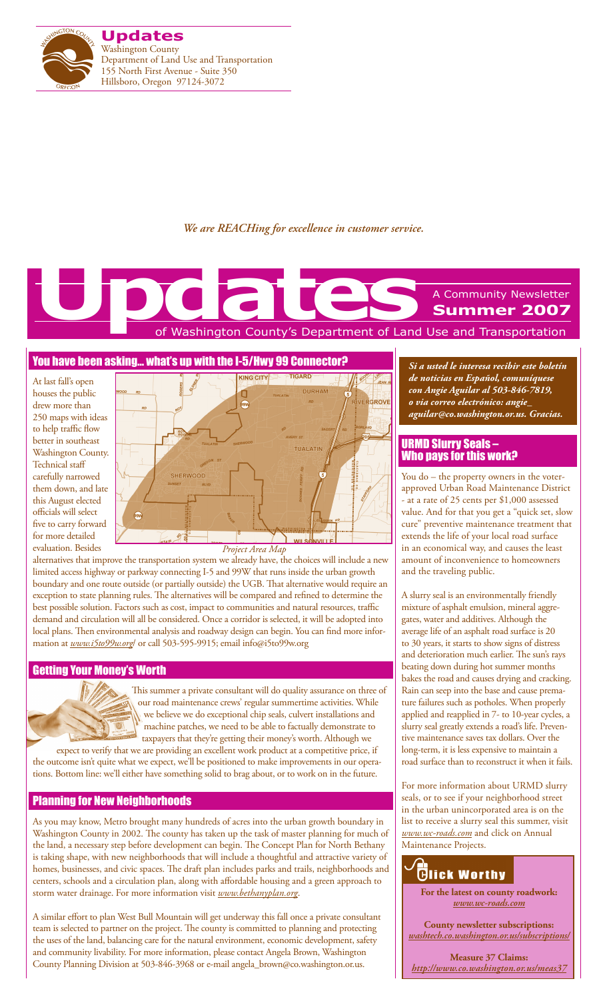

*We are REACHing for excellence in customer service.*

# of Washington County's Department of Land Use and Transportation A Community Newsletter **Summer 2007 Updates**<br>
Le Constantinople Country's Department of Land

### You have been asking… what's up with the I-5/Hwy 99 Connector?

At last fall's open houses the public drew more than 250 maps with ideas to help traffic flow better in southeast Washington County. Technical staff carefully narrowed them down, and late this August elected officials will select five to carry forward for more detailed evaluation. Besides



alternatives that improve the transportation system we already have, the choices will include a new limited access highway or parkway connecting I-5 and 99W that runs inside the urban growth boundary and one route outside (or partially outside) the UGB. That alternative would require an exception to state planning rules. The alternatives will be compared and refined to determine the best possible solution. Factors such as cost, impact to communities and natural resources, traffic demand and circulation will all be considered. Once a corridor is selected, it will be adopted into local plans. Then environmental analysis and roadway design can begin. You can find more information at *www.i5to99w.org*/ or call 503-595-9915; email info@i5to99w.org

### Getting Your Money's Worth



This summer a private consultant will do quality assurance on three of our road maintenance crews' regular summertime activities. While we believe we do exceptional chip seals, culvert installations and machine patches, we need to be able to factually demonstrate to taxpayers that they're getting their money's worth. Although we

expect to verify that we are providing an excellent work product at a competitive price, if the outcome isn't quite what we expect, we'll be positioned to make improvements in our operations. Bottom line: we'll either have something solid to brag about, or to work on in the future.

### Planning for New Neighborhoods

As you may know, Metro brought many hundreds of acres into the urban growth boundary in Washington County in 2002. The county has taken up the task of master planning for much of the land, a necessary step before development can begin. The Concept Plan for North Bethany is taking shape, with new neighborhoods that will include a thoughtful and attractive variety of homes, businesses, and civic spaces. The draft plan includes parks and trails, neighborhoods and centers, schools and a circulation plan, along with affordable housing and a green approach to storm water drainage. For more information visit *www.bethanyplan.org*.

A similar effort to plan West Bull Mountain will get underway this fall once a private consultant team is selected to partner on the project. The county is committed to planning and protecting the uses of the land, balancing care for the natural environment, economic development, safety and community livability. For more information, please contact Angela Brown, Washington County Planning Division at 503-846-3968 or e-mail angela\_brown@co.washington.or.us.

*Si a usted le interesa recibir este boletín de noticias en Español, comuníquese con Angie Aguilar al 503-846-7819, o via correo electrónico: angie\_ aguilar@co.washington.or.us. Gracias.*

### URMD Slurry Seals – Who pays for this work?

You do – the property owners in the voterapproved Urban Road Maintenance District - at a rate of 25 cents per \$1,000 assessed value. And for that you get a "quick set, slow cure" preventive maintenance treatment that extends the life of your local road surface in an economical way, and causes the least amount of inconvenience to homeowners and the traveling public.

A slurry seal is an environmentally friendly mixture of asphalt emulsion, mineral aggregates, water and additives. Although the average life of an asphalt road surface is 20 to 30 years, it starts to show signs of distress and deterioration much earlier. The sun's rays beating down during hot summer months bakes the road and causes drying and cracking. Rain can seep into the base and cause premature failures such as potholes. When properly applied and reapplied in 7- to 10-year cycles, a slurry seal greatly extends a road's life. Preventive maintenance saves tax dollars. Over the long-term, it is less expensive to maintain a road surface than to reconstruct it when it fails.

For more information about URMD slurry seals, or to see if your neighborhood street in the urban unincorporated area is on the list to receive a slurry seal this summer, visit *www.wc-roads.com* and click on Annual Maintenance Projects.



**For the latest on county roadwork:** *www.wc-roads.com*

**County newsletter subscriptions:**  *washtech.co.washington.or.us/subscriptions/*

**Measure 37 Claims:** *http://www.co.washington.or.us/meas37*